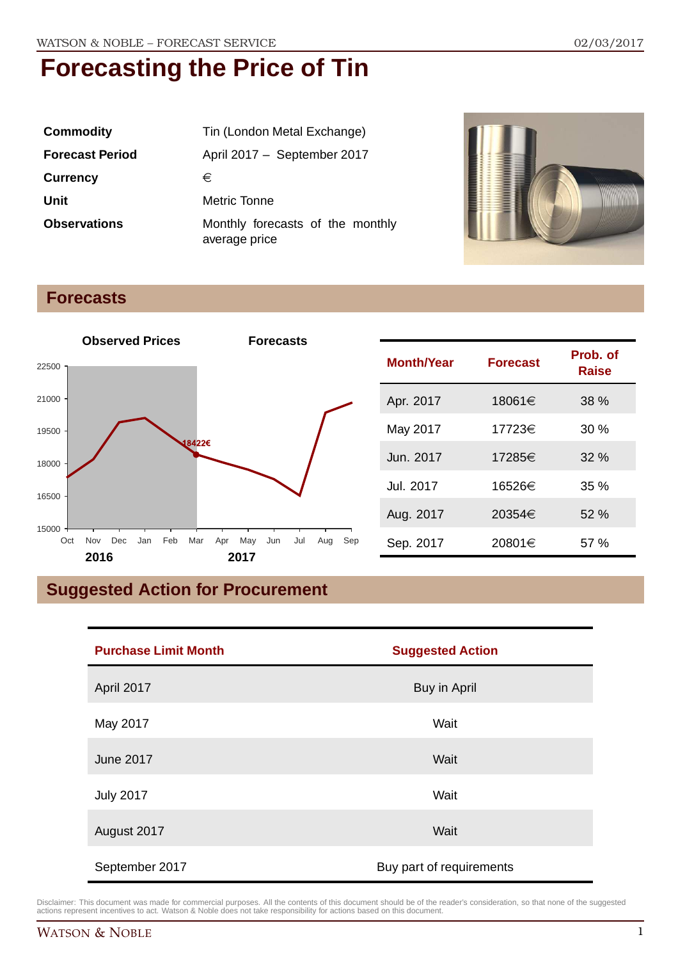| <b>Commodity</b>       | Tin (London Metal Exchange)                       |  |
|------------------------|---------------------------------------------------|--|
| <b>Forecast Period</b> | April 2017 - September 2017                       |  |
| <b>Currency</b>        | €                                                 |  |
| Unit                   | <b>Metric Tonne</b>                               |  |
| <b>Observations</b>    | Monthly forecasts of the monthly<br>average price |  |



### **Forecasts**



### **Suggested Action for Procurement**

| <b>Purchase Limit Month</b> | <b>Suggested Action</b>  |
|-----------------------------|--------------------------|
| April 2017                  | Buy in April             |
| May 2017                    | Wait                     |
| <b>June 2017</b>            | Wait                     |
| <b>July 2017</b>            | Wait                     |
| August 2017                 | Wait                     |
| September 2017              | Buy part of requirements |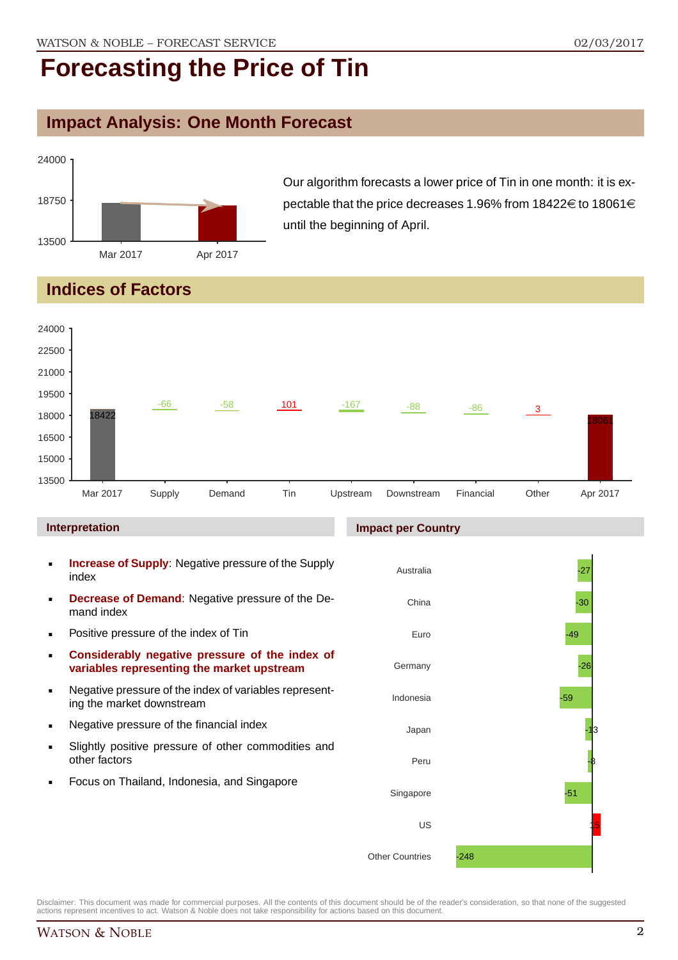### **Impact Analysis: One Month Forecast**



Our algorithm forecasts a lower price of Tin in one month: it is expectable that the price decreases 1.96% from 18422 $\in$  to 18061 $\in$ until the beginning of April.

### **Indices of Factors**



- **Considerably negative pressure of the index of variables representing the market upstream**
- Negative pressure of the index of variables representing the market downstream
- **Negative pressure of the financial index**
- Slightly positive pressure of other commodities and other factors
- Focus on Thailand, Indonesia, and Singapore

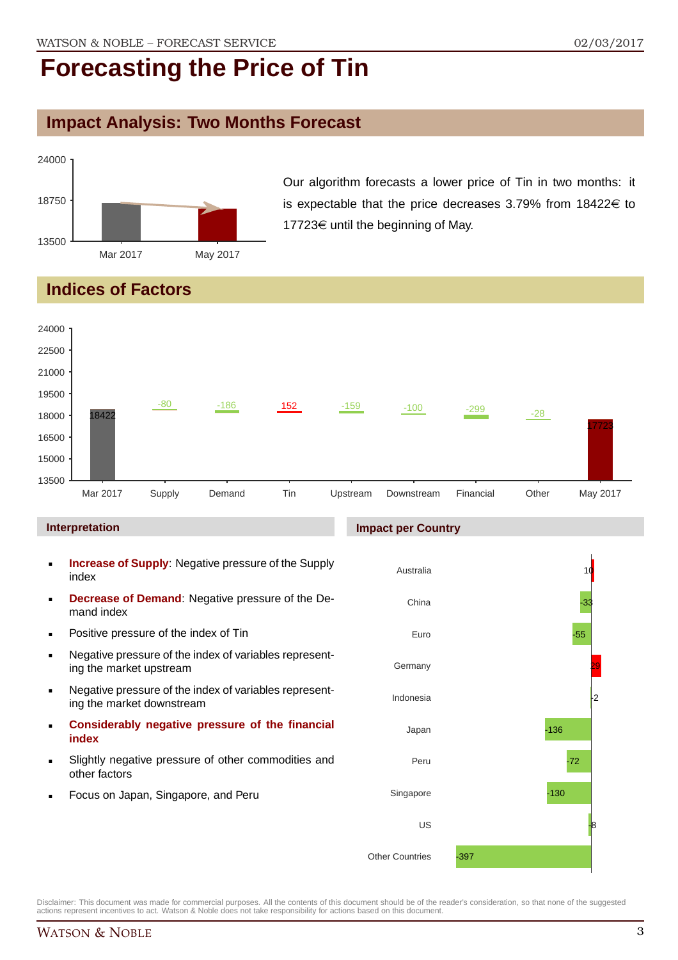### **Impact Analysis: Two Months Forecast**



Our algorithm forecasts a lower price of Tin in two months: it is expectable that the price decreases 3.79% from  $18422 \in$  to 17723 $\in$  until the beginning of May.

### **Indices of Factors**



- Slightly negative pressure of other commodities and other factors
- Focus on Japan, Singapore, and Peru

#### Disclaimer: This document was made for commercial purposes. All the contents of this document should be of the reader's consideration, so that none of the suggested actions represent incentives to act. Watson & Noble does not take responsibility for actions based on this document.

Peru

US

-397

Singapore

Other Countries

-72

-8

-130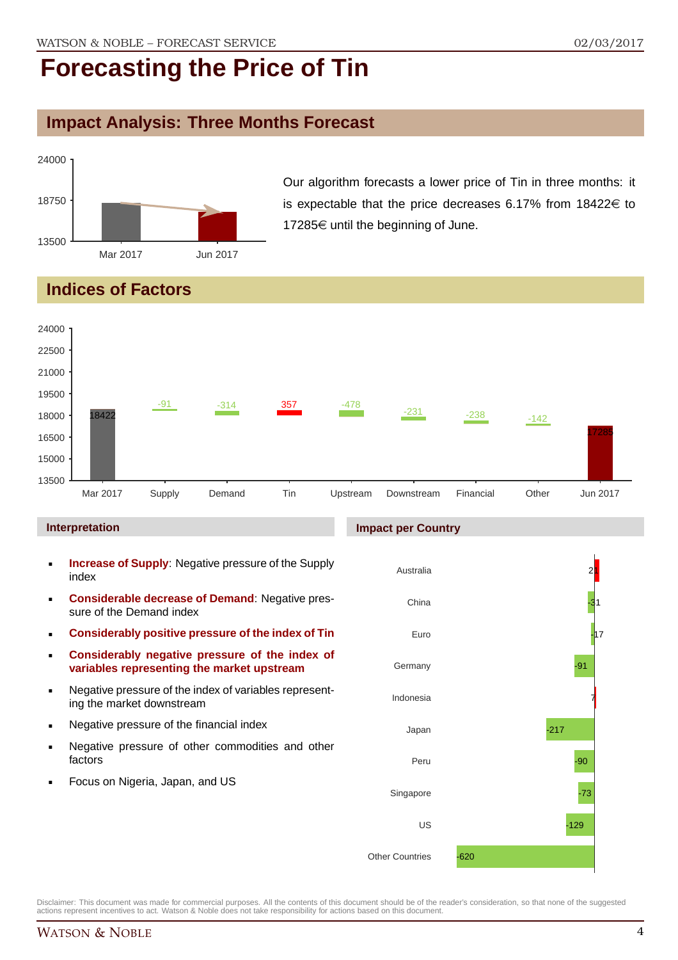### **Impact Analysis: Three Months Forecast**



Our algorithm forecasts a lower price of Tin in three months: it is expectable that the price decreases 6.17% from  $18422 \in$  to 17285 $\in$  until the beginning of June.

### **Indices of Factors**



#### **Interpretation**

- **Increase of Supply**: Negative pressure of the Supply index
- **Considerable decrease of Demand**: Negative pressure of the Demand index
- **Considerably positive pressure of the index of Tin**
- **Considerably negative pressure of the index of variables representing the market upstream**
- Negative pressure of the index of variables representing the market downstream
- **Negative pressure of the financial index**
- **Negative pressure of other commodities and other** factors
- Focus on Nigeria, Japan, and US

#### **Impact per Country**

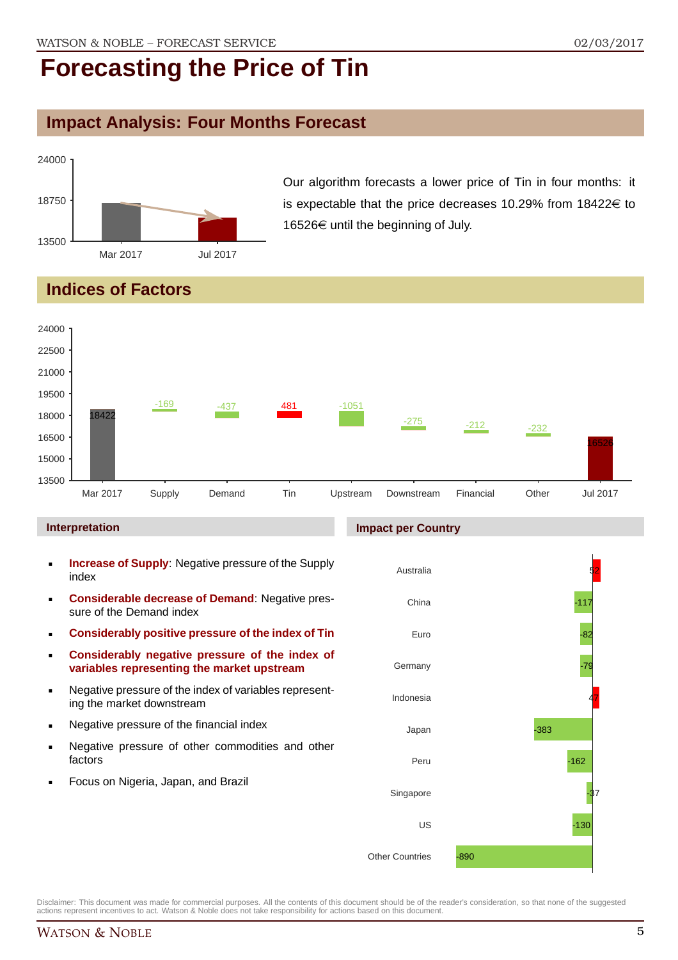### **Impact Analysis: Four Months Forecast**



Our algorithm forecasts a lower price of Tin in four months: it is expectable that the price decreases 10.29% from  $18422 \in$  to 16526€ until the beginning of July.

### **Indices of Factors**



#### **Interpretation**

- **Increase of Supply**: Negative pressure of the Supply index
- **Considerable decrease of Demand**: Negative pressure of the Demand index
- **Considerably positive pressure of the index of Tin**
- **Considerably negative pressure of the index of variables representing the market upstream**
- Negative pressure of the index of variables representing the market downstream
- **Negative pressure of the financial index**
- **Negative pressure of other commodities and other** factors
- **Focus on Nigeria, Japan, and Brazil**

#### **Impact per Country**

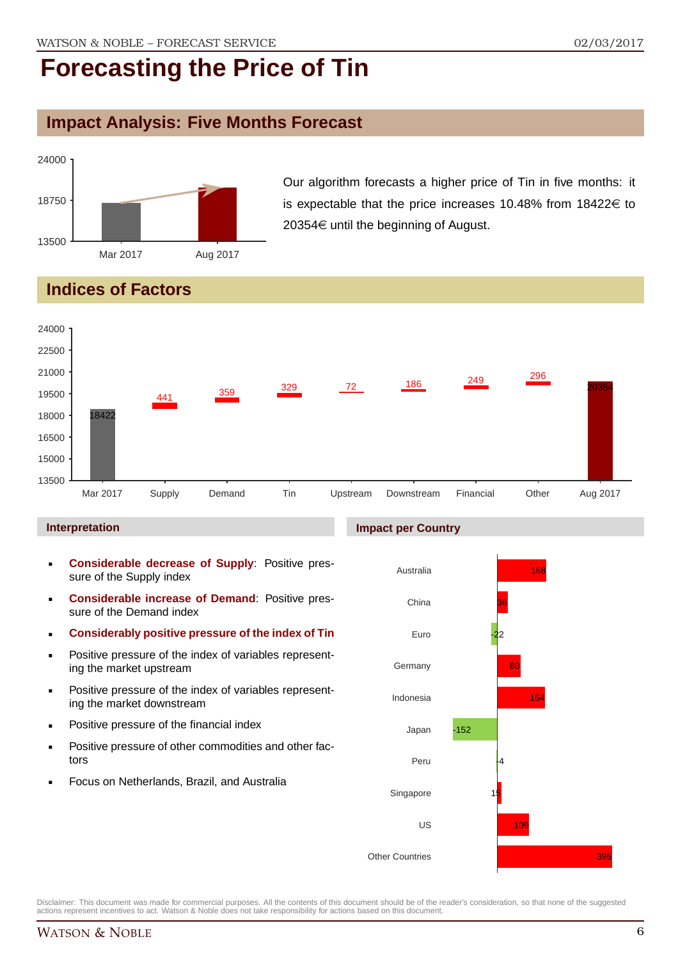### **Impact Analysis: Five Months Forecast**



Our algorithm forecasts a higher price of Tin in five months: it is expectable that the price increases 10.48% from  $18422 \in$  to 20354 $\in$  until the beginning of August.

### **Indices of Factors**



#### **Interpretation**

- **Considerable decrease of Supply**: Positive pressure of the Supply index
- **Considerable increase of Demand**: Positive pressure of the Demand index
- **Considerably positive pressure of the index of Tin**
- Positive pressure of the index of variables representing the market upstream
- **Positive pressure of the index of variables represent**ing the market downstream
- **•** Positive pressure of the financial index
- **Positive pressure of other commodities and other fac**tors
- Focus on Netherlands, Brazil, and Australia

### **Impact per Country**

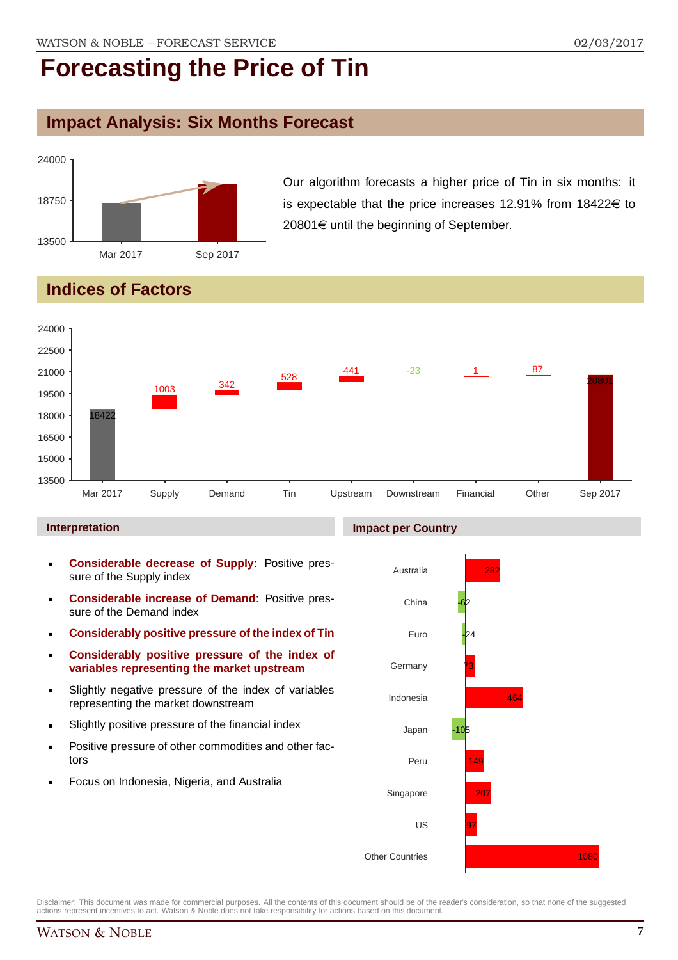### **Impact Analysis: Six Months Forecast**



Our algorithm forecasts a higher price of Tin in six months: it is expectable that the price increases 12.91% from  $18422 \in$  to  $20801 \in$  until the beginning of September.

### **Indices of Factors**



#### **Interpretation**

- **Considerable decrease of Supply**: Positive pressure of the Supply index
- **Considerable increase of Demand**: Positive pressure of the Demand index
- **Considerably positive pressure of the index of Tin**
- **Considerably positive pressure of the index of variables representing the market upstream**
- Slightly negative pressure of the index of variables representing the market downstream
- Slightly positive pressure of the financial index
- **Positive pressure of other commodities and other fac**tors
- Focus on Indonesia, Nigeria, and Australia

#### **Impact per Country**

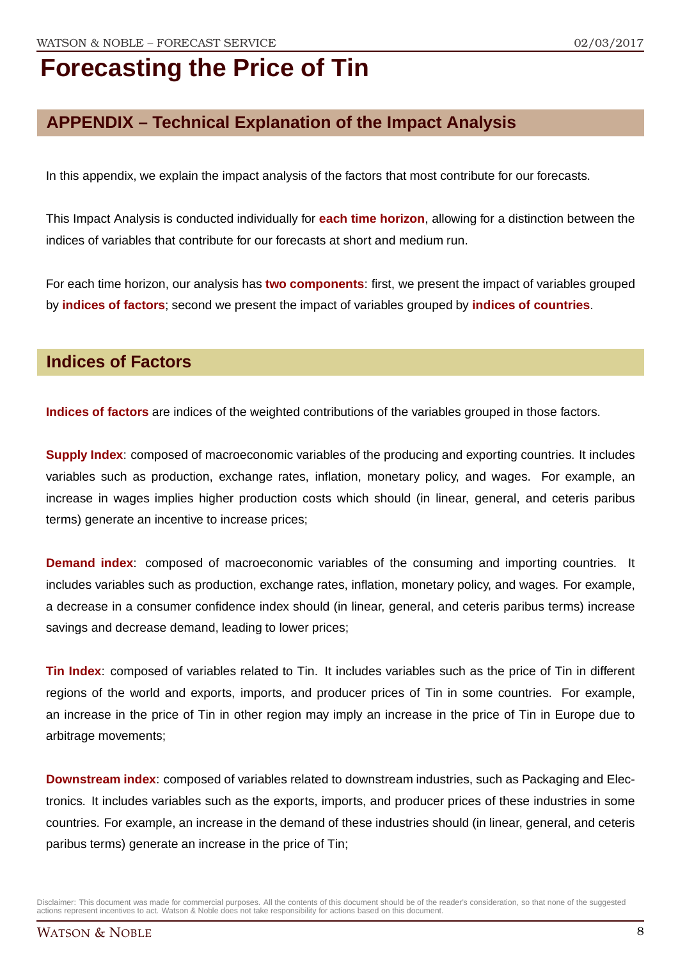### **APPENDIX – Technical Explanation of the Impact Analysis**

In this appendix, we explain the impact analysis of the factors that most contribute for our forecasts.

This Impact Analysis is conducted individually for **each time horizon**, allowing for a distinction between the indices of variables that contribute for our forecasts at short and medium run.

For each time horizon, our analysis has **two components**: first, we present the impact of variables grouped by **indices of factors**; second we present the impact of variables grouped by **indices of countries**.

### **Indices of Factors**

**Indices of factors** are indices of the weighted contributions of the variables grouped in those factors.

**Supply Index**: composed of macroeconomic variables of the producing and exporting countries. It includes variables such as production, exchange rates, inflation, monetary policy, and wages. For example, an increase in wages implies higher production costs which should (in linear, general, and ceteris paribus terms) generate an incentive to increase prices;

**Demand index**: composed of macroeconomic variables of the consuming and importing countries. It includes variables such as production, exchange rates, inflation, monetary policy, and wages. For example, a decrease in a consumer confidence index should (in linear, general, and ceteris paribus terms) increase savings and decrease demand, leading to lower prices;

**Tin Index**: composed of variables related to Tin. It includes variables such as the price of Tin in different regions of the world and exports, imports, and producer prices of Tin in some countries. For example, an increase in the price of Tin in other region may imply an increase in the price of Tin in Europe due to arbitrage movements;

**Downstream index**: composed of variables related to downstream industries, such as Packaging and Electronics. It includes variables such as the exports, imports, and producer prices of these industries in some countries. For example, an increase in the demand of these industries should (in linear, general, and ceteris paribus terms) generate an increase in the price of Tin;